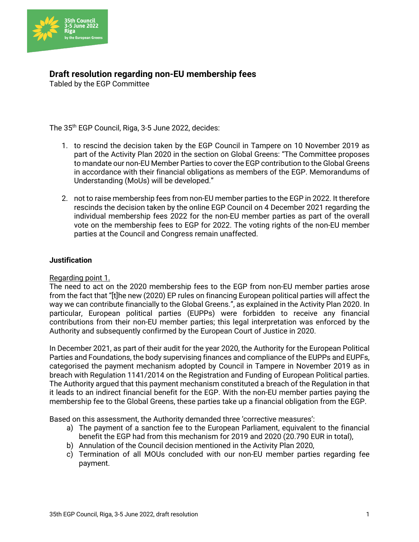

## **Draft resolution regarding non-EU membership fees**

Tabled by the EGP Committee

The 35th EGP Council, Riga, 3-5 June 2022, decides:

- 1. to rescind the decision taken by the EGP Council in Tampere on 10 November 2019 as part of the Activity Plan 2020 in the section on Global Greens: "The Committee proposes to mandate our non-EU Member Parties to cover the EGP contribution to the Global Greens in accordance with their financial obligations as members of the EGP. Memorandums of Understanding (MoUs) will be developed."
- 2. not to raise membership fees from non-EU member parties to the EGP in 2022. It therefore rescinds the decision taken by the online EGP Council on 4 December 2021 regarding the individual membership fees 2022 for the non-EU member parties as part of the overall vote on the membership fees to EGP for 2022. The voting rights of the non-EU member parties at the Council and Congress remain unaffected.

## **Justification**

## Regarding point 1.

The need to act on the 2020 membership fees to the EGP from non-EU member parties arose from the fact that "[t]he new (2020) EP rules on financing European political parties will affect the way we can contribute financially to the Global Greens.", as explained in the Activity Plan 2020. In particular, European political parties (EUPPs) were forbidden to receive any financial contributions from their non-EU member parties; this legal interpretation was enforced by the Authority and subsequently confirmed by the European Court of Justice in 2020.

In December 2021, as part of their audit for the year 2020, the Authority for the European Political Parties and Foundations, the body supervising finances and compliance of the EUPPs and EUPFs, categorised the payment mechanism adopted by Council in Tampere in November 2019 as in breach with Regulation 1141/2014 on the Registration and Funding of European Political parties. The Authority argued that this payment mechanism constituted a breach of the Regulation in that it leads to an indirect financial benefit for the EGP. With the non-EU member parties paying the membership fee to the Global Greens, these parties take up a financial obligation from the EGP.

Based on this assessment, the Authority demanded three 'corrective measures':

- a) The payment of a sanction fee to the European Parliament, equivalent to the financial benefit the EGP had from this mechanism for 2019 and 2020 (20.790 EUR in total),
- b) Annulation of the Council decision mentioned in the Activity Plan 2020,
- c) Termination of all MOUs concluded with our non-EU member parties regarding fee payment.